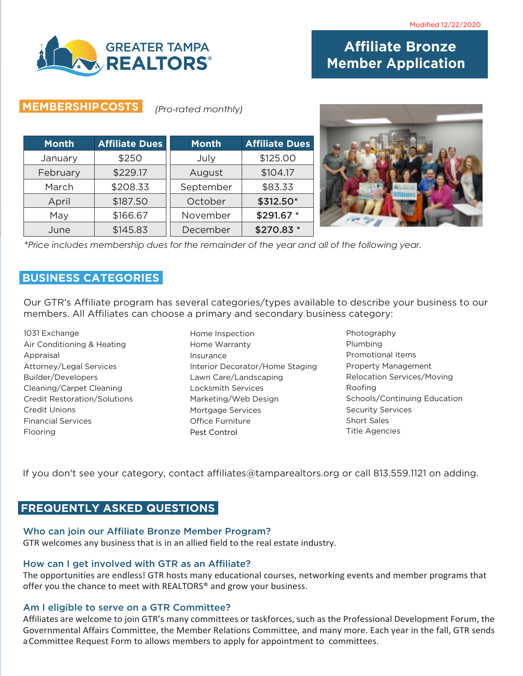

# **Affiliate Bronze Member Application**

## **MEMBERSHIPCOSTS** *(Pro-rated monthly)*

| <b>Month</b> | <b>Affiliate Dues</b> | <b>Month</b> | <b>Affiliate Dues</b> |
|--------------|-----------------------|--------------|-----------------------|
| January      | \$250                 | July         | \$125.00              |
| February     | \$229.17              | August       | \$104.17              |
| March        | \$208.33              | September    | \$83.33               |
| April        | \$187.50              | October      | \$312.50*             |
| May          | \$166.67              | November     | \$291.67 *            |
| June         | \$145.83              | December     | \$270.83 *            |



*\*Price includes membership dues for the remainder of the year and all of the following year.*

## **BUSINESS CATEGORIES**

Our GTR's Affiliate program has several categories/types available to describe your business to our members. All Affiliates can choose a primary and secondary business category:

1031 Exchange Air Conditioning & Heating Appraisal Attorney/Legal Services Builder/Developers Cleaning/Carpet Cleaning Credit Restoration/Solutions Credit Unions Financial Services Flooring

- Home Inspection Home Warranty Insurance Interior Decorator/Home Staging Lawn Care/Landscaping Locksmith Services Marketing/Web Design Mortgage Services Office Furniture Pest Control
- Photography Plumbing Promotional Items Property Management Relocation Services/Moving Roofing Schools/Continuing Education Security Services Short Sales Title Agencies

If you don't see your category, contact affiliates@tamparealtors.org or call 813.559.1121 on adding.

## **FREQUENTLY ASKED QUESTIONS**

#### Who can join our Affiliate Bronze Member Program?

GTR welcomes any business that is in an allied field to the real estate industry.

#### How can I get involved with GTR as an Affiliate?

The opportunities are endless! GTR hosts many educational courses, networking events and member programs that offer you the chance to meet with REALTORS® and grow your business.

#### Am I eligible to serve on a GTR Committee?

Affiliates are welcome to join GTR's many committees or taskforces, such as the Professional Development Forum, the Governmental Affairs Committee, the Member Relations Committee, and many more. Each year in the fall, GTR sends a Committee Request Form to allows members to apply for appointment to committees.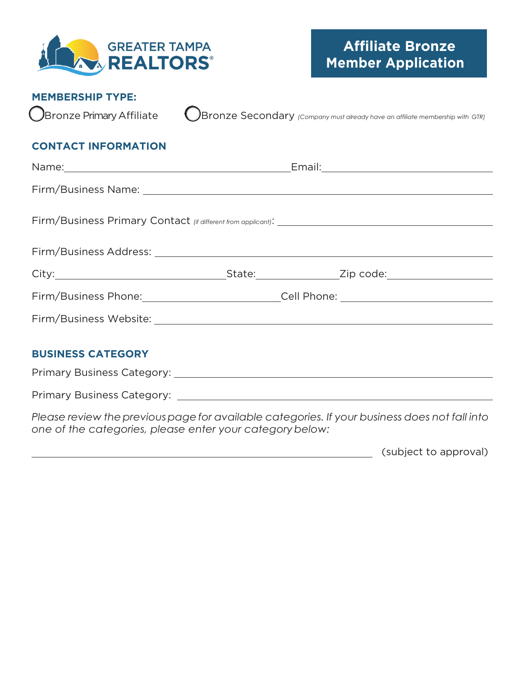

## **MEMBERSHIP TYPE:**

Bronze Primary Affiliate **Containty Bronze Secondary** *(Company must already have an affiliate membership with GTR)* 

## **CONTACT INFORMATION**

| Firm/Business Address: Law March 2014 19:00 19:00 19:00 19:00 19:00 19:00 19:00 19:00 19:00 19:00 19:00 19:00 |  |                                                   |  |  |  |
|---------------------------------------------------------------------------------------------------------------|--|---------------------------------------------------|--|--|--|
|                                                                                                               |  |                                                   |  |  |  |
|                                                                                                               |  | Firm/Business Phone: Cell Phone: Call Phone: 2008 |  |  |  |
|                                                                                                               |  |                                                   |  |  |  |
|                                                                                                               |  |                                                   |  |  |  |
| <b>BUSINESS CATEGORY</b>                                                                                      |  |                                                   |  |  |  |
|                                                                                                               |  |                                                   |  |  |  |
|                                                                                                               |  |                                                   |  |  |  |

*Please review thepreviouspagefor available categories. If your business does not fall into one of the categories, please enter your categorybelow:*

(subject to approval)